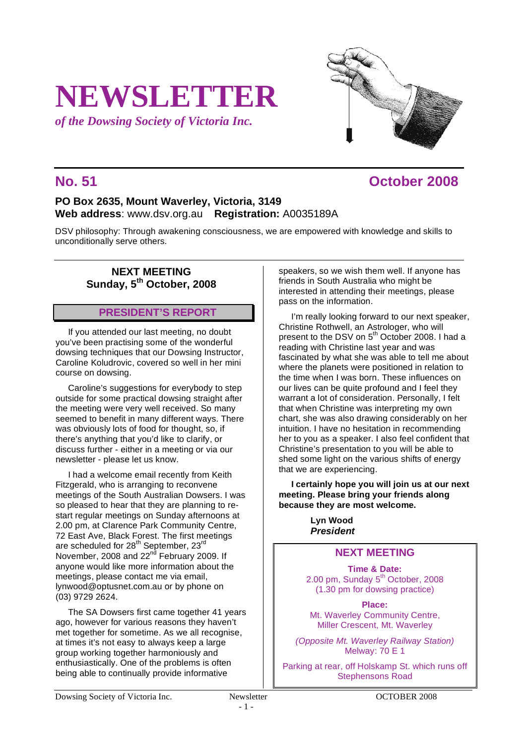# **NEWSLETTER**

*of the Dowsing Society of Victoria Inc.*

## **No. 51 October 2008**

## **PO Box 2635, Mount Waverley, Victoria, 3149 Web address**: www.dsv.org.au **Registration:** A0035189A

DSV philosophy: Through awakening consciousness, we are empowered with knowledge and skills to unconditionally serve others.

### **NEXT MEETING Sunday, 5th October, 2008**

## **PRESIDENT'S REPORT**

If you attended our last meeting, no doubt you've been practising some of the wonderful dowsing techniques that our Dowsing Instructor, Caroline Koludrovic, covered so well in her mini course on dowsing.

Caroline's suggestions for everybody to step outside for some practical dowsing straight after the meeting were very well received. So many seemed to benefit in many different ways. There was obviously lots of food for thought, so, if there's anything that you'd like to clarify, or discuss further - either in a meeting or via our newsletter - please let us know.

I had a welcome email recently from Keith Fitzgerald, who is arranging to reconvene meetings of the South Australian Dowsers. I was so pleased to hear that they are planning to restart regular meetings on Sunday afternoons at 2.00 pm, at Clarence Park Community Centre, 72 East Ave, Black Forest. The first meetings are scheduled for 28<sup>th</sup> September, 23<sup>rd</sup> November, 2008 and 22<sup>nd</sup> February 2009. If anyone would like more information about the meetings, please contact me via email, lynwood@optusnet.com.au or by phone on (03) 9729 2624.

The SA Dowsers first came together 41 years ago, however for various reasons they haven't met together for sometime. As we all recognise, at times it's not easy to always keep a large group working together harmoniously and enthusiastically. One of the problems is often being able to continually provide informative

speakers, so we wish them well. If anyone has friends in South Australia who might be interested in attending their meetings, please pass on the information.

I'm really looking forward to our next speaker, Christine Rothwell, an Astrologer, who will present to the DSV on 5<sup>th</sup> October 2008. I had a reading with Christine last year and was fascinated by what she was able to tell me about where the planets were positioned in relation to the time when I was born. These influences on our lives can be quite profound and I feel they warrant a lot of consideration. Personally, I felt that when Christine was interpreting my own chart, she was also drawing considerably on her intuition. I have no hesitation in recommending her to you as a speaker. I also feel confident that Christine's presentation to you will be able to shed some light on the various shifts of energy that we are experiencing.

**I certainly hope you will join us at our next meeting. Please bring your friends along because they are most welcome.**

> **Lyn Wood**  *President*

## **NEXT MEETING**

**Time & Date:** 2.00 pm, Sunday 5<sup>th</sup> October, 2008 (1.30 pm for dowsing practice)

**Place:** Mt. Waverley Community Centre. Miller Crescent, Mt. Waverley

*(Opposite Mt. Waverley Railway Station)* Melway: 70 E 1

Parking at rear, off Holskamp St. which runs off Stephensons Road

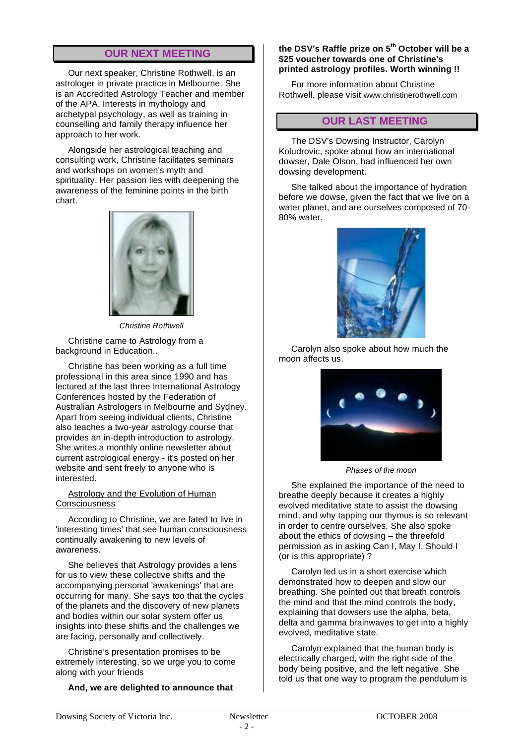## **OUR NEXT MEETING**

Our next speaker, Christine Rothwell, is an astrologer in private practice in Melbourne. She is an Accredited Astrology Teacher and member of the APA. Interests in mythology and archetypal psychology, as well as training in counselling and family therapy influence her approach to her work.

Alongside her astrological teaching and consulting work, Christine facilitates seminars and workshops on women's myth and spirituality. Her passion lies with deepening the awareness of the feminine points in the birth chart.



*Christine Rothwell*

Christine came to Astrology from a background in Education..

Christine has been working as a full time professional in this area since 1990 and has lectured at the last three International Astrology Conferences hosted by the Federation of Australian Astrologers in Melbourne and Sydney. Apart from seeing individual clients, Christine also teaches a two-year astrology course that provides an in-depth introduction to astrology. She writes a monthly online newsletter about current astrological energy - it's posted on her website and sent freely to anyone who is interested.

#### Astrology and the Evolution of Human **Consciousness**

According to Christine, we are fated to live in 'interesting times' that see human consciousness continually awakening to new levels of awareness.

She believes that Astrology provides a lens for us to view these collective shifts and the accompanying personal 'awakenings' that are occurring for many. She says too that the cycles of the planets and the discovery of new planets and bodies within our solar system offer us insights into these shifts and the challenges we are facing, personally and collectively.

Christine's presentation promises to be extremely interesting, so we urge you to come along with your friends

#### **And, we are delighted to announce that**

#### **the DSV's Raffle prize on 5th October will be a \$25 voucher towards one of Christine's printed astrology profiles. Worth winning !!**

For more information about Christine Rothwell, please visit www.christinerothwell.com

## **OUR LAST MEETING**

The DSV's Dowsing Instructor, Carolyn Koludrovic, spoke about how an international dowser, Dale Olson, had influenced her own dowsing development.

She talked about the importance of hydration before we dowse, given the fact that we live on a water planet, and are ourselves composed of 70- 80% water.



Carolyn also spoke about how much the moon affects us.



*Phases of the moon*

She explained the importance of the need to breathe deeply because it creates a highly evolved meditative state to assist the dowsing mind, and why tapping our thymus is so relevant in order to centre ourselves. She also spoke about the ethics of dowsing – the threefold permission as in asking Can I, May I, Should I (or is this appropriate) ?

Carolyn led us in a short exercise which demonstrated how to deepen and slow our breathing. She pointed out that breath controls the mind and that the mind controls the body, explaining that dowsers use the alpha, beta, delta and gamma brainwaves to get into a highly evolved, meditative state.

Carolyn explained that the human body is electrically charged, with the right side of the body being positive, and the left negative. She told us that one way to program the pendulum is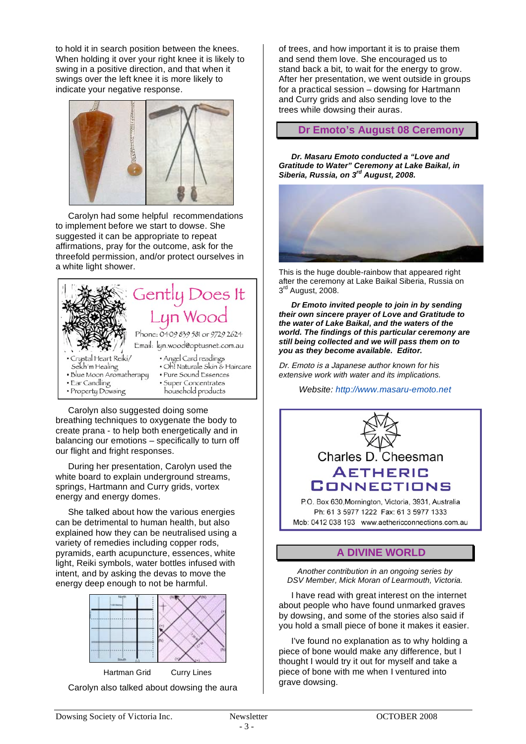to hold it in search position between the knees. When holding it over your right knee it is likely to swing in a positive direction, and that when it swings over the left knee it is more likely to indicate your negative response.



Carolyn had some helpful recommendations to implement before we start to dowse. She suggested it can be appropriate to repeat affirmations, pray for the outcome, ask for the threefold permission, and/or protect ourselves in a white light shower.



Carolyn also suggested doing some breathing techniques to oxygenate the body to create prana - to help both energetically and in balancing our emotions – specifically to turn off our flight and fright responses.

During her presentation, Carolyn used the white board to explain underground streams, springs, Hartmann and Curry grids, vortex energy and energy domes.

She talked about how the various energies can be detrimental to human health, but also explained how they can be neutralised using a variety of remedies including copper rods, pyramids, earth acupuncture, essences, white light, Reiki symbols, water bottles infused with intent, and by asking the devas to move the energy deep enough to not be harmful.



Hartman Grid Curry Lines Carolyn also talked about dowsing the aura of trees, and how important it is to praise them and send them love. She encouraged us to stand back a bit, to wait for the energy to grow. After her presentation, we went outside in groups for a practical session – dowsing for Hartmann and Curry grids and also sending love to the trees while dowsing their auras.

**Dr Emoto's August 08 Ceremony**

*Dr. Masaru Emoto conducted a "Love and Gratitude to Water" Ceremony at Lake Baikal, in Siberia, Russia, on 3rd August, 2008.*



This is the huge double-rainbow that appeared right after the ceremony at Lake Baikal Siberia, Russia on  $3<sup>rd</sup>$  August, 2008.

*Dr Emoto invited people to join in by sending their own sincere prayer of Love and Gratitude to the water of Lake Baikal, and the waters of the world. The findings of this particular ceremony are still being collected and we will pass them on to you as they become available. Editor.*

Dr. Emoto is a Japanese a*uthor known for his extensive work with water and its implications.*

*Website: http://www.masaru-emoto.net*



## **A DIVINE WORLD**

*Another contribution in an ongoing series by DSV Member, Mick Moran of Learmouth, Victoria.*

I have read with great interest on the internet about people who have found unmarked graves by dowsing, and some of the stories also said if you hold a small piece of bone it makes it easier.

I've found no explanation as to why holding a piece of bone would make any difference, but I thought I would try it out for myself and take a piece of bone with me when I ventured into grave dowsing.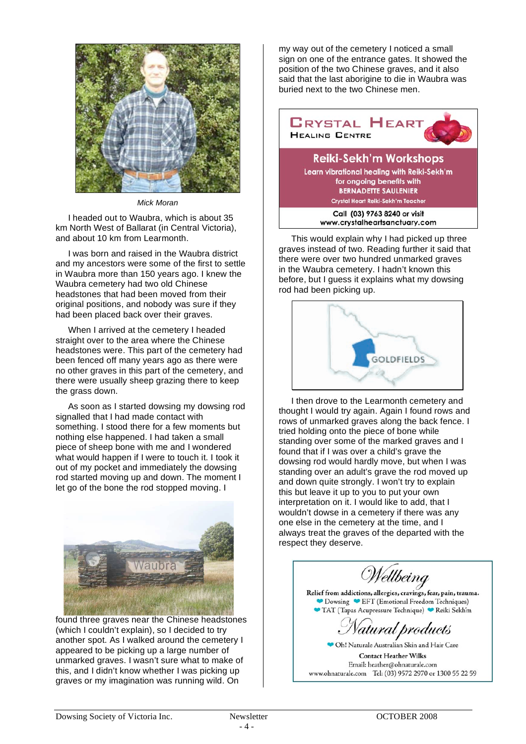

#### *Mick Moran*

I headed out to Waubra, which is about 35 km North West of Ballarat (in Central Victoria), and about 10 km from Learmonth.

I was born and raised in the Waubra district and my ancestors were some of the first to settle in Waubra more than 150 years ago. I knew the Waubra cemetery had two old Chinese headstones that had been moved from their original positions, and nobody was sure if they had been placed back over their graves.

When I arrived at the cemetery I headed straight over to the area where the Chinese headstones were. This part of the cemetery had been fenced off many years ago as there were no other graves in this part of the cemetery, and there were usually sheep grazing there to keep the grass down.

As soon as I started dowsing my dowsing rod signalled that I had made contact with something. I stood there for a few moments but nothing else happened. I had taken a small piece of sheep bone with me and I wondered what would happen if I were to touch it. I took it out of my pocket and immediately the dowsing rod started moving up and down. The moment I let go of the bone the rod stopped moving. I



found three graves near the Chinese headstones (which I couldn't explain), so I decided to try another spot. As I walked around the cemetery I appeared to be picking up a large number of unmarked graves. I wasn't sure what to make of this, and I didn't know whether I was picking up graves or my imagination was running wild. On

my way out of the cemetery I noticed a small sign on one of the entrance gates. It showed the position of the two Chinese graves, and it also said that the last aborigine to die in Waubra was buried next to the two Chinese men.



This would explain why I had picked up three graves instead of two. Reading further it said that there were over two hundred unmarked graves in the Waubra cemetery. I hadn't known this before, but I guess it explains what my dowsing rod had been picking up.



I then drove to the Learmonth cemetery and thought I would try again. Again I found rows and rows of unmarked graves along the back fence. I tried holding onto the piece of bone while standing over some of the marked graves and I found that if I was over a child's grave the dowsing rod would hardly move, but when I was standing over an adult's grave the rod moved up and down quite strongly. I won't try to explain this but leave it up to you to put your own interpretation on it. I would like to add, that I wouldn't dowse in a cemetery if there was any one else in the cemetery at the time, and I always treat the graves of the departed with the respect they deserve.

Wellbeing Relief from addictions, allergies, cravings, fear, pain, trauma. Dowsing EFT (Emotional Freedom Techniques) TAT (Tapas Acupressure Technique) Reiki Sekh'm atural products Oh! Naturale Australian Skin and Hair Care

**Contact Heather Wilks** Email: heather@ohnaturale.com www.ohnaturale.com Tel: (03) 9572 2970 or 1300 55 22 59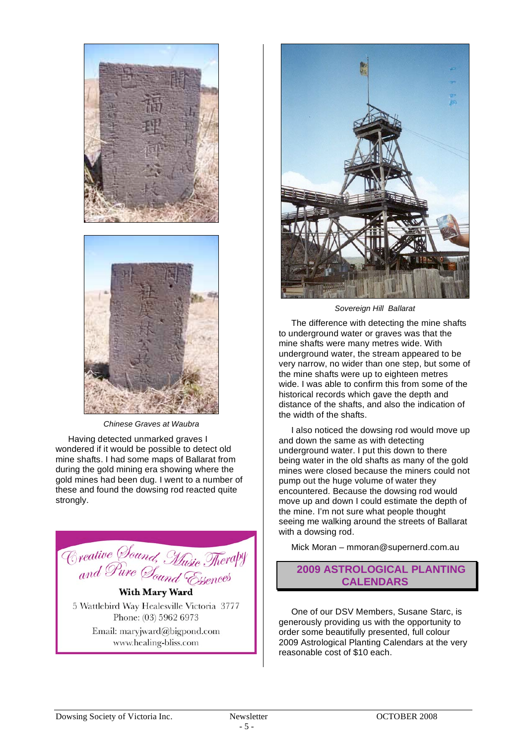



*Chinese Graves at Waubra*

Having detected unmarked graves I wondered if it would be possible to detect old mine shafts. I had some maps of Ballarat from during the gold mining era showing where the gold mines had been dug. I went to a number of these and found the dowsing rod reacted quite strongly.



5 Wattlebird Way Healesville Victoria 3777 Phone: (03) 5962 6973

Email: maryjward@bigpond.com www.healing-bliss.com



*Sovereign Hill Ballarat*

The difference with detecting the mine shafts to underground water or graves was that the mine shafts were many metres wide. With underground water, the stream appeared to be very narrow, no wider than one step, but some of the mine shafts were up to eighteen metres wide. I was able to confirm this from some of the historical records which gave the depth and distance of the shafts, and also the indication of the width of the shafts.

I also noticed the dowsing rod would move up and down the same as with detecting underground water. I put this down to there being water in the old shafts as many of the gold mines were closed because the miners could not pump out the huge volume of water they encountered. Because the dowsing rod would move up and down I could estimate the depth of the mine. I'm not sure what people thought seeing me walking around the streets of Ballarat with a dowsing rod.

Mick Moran – mmoran@supernerd.com.au

## **2009 ASTROLOGICAL PLANTING CALENDARS**

One of our DSV Members, Susane Starc, is generously providing us with the opportunity to order some beautifully presented, full colour 2009 Astrological Planting Calendars at the very reasonable cost of \$10 each.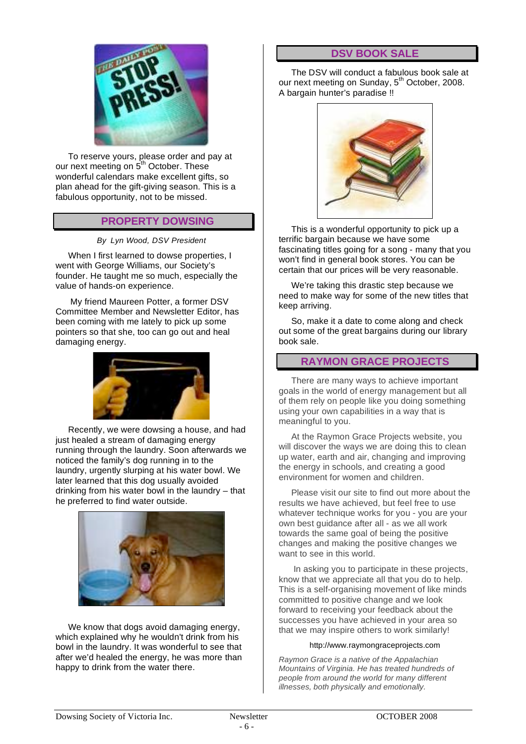

To reserve yours, please order and pay at our next meeting on 5<sup>th</sup> October. These wonderful calendars make excellent gifts, so plan ahead for the gift-giving season. This is a fabulous opportunity, not to be missed.

#### **PROPERTY DOWSING**

*By Lyn Wood, DSV President*

When I first learned to dowse properties, I went with George Williams, our Society's founder. He taught me so much, especially the value of hands-on experience.

 My friend Maureen Potter, a former DSV Committee Member and Newsletter Editor, has been coming with me lately to pick up some pointers so that she, too can go out and heal damaging energy.



Recently, we were dowsing a house, and had just healed a stream of damaging energy running through the laundry. Soon afterwards we noticed the family's dog running in to the laundry, urgently slurping at his water bowl. We later learned that this dog usually avoided drinking from his water bowl in the laundry – that he preferred to find water outside.



We know that dogs avoid damaging energy, which explained why he wouldn't drink from his bowl in the laundry. It was wonderful to see that after we'd healed the energy, he was more than happy to drink from the water there.

### **DSV BOOK SALE**

The DSV will conduct a fabulous book sale at our next meeting on Sunday, 5<sup>th</sup> October, 2008. A bargain hunter's paradise !!



This is a wonderful opportunity to pick up a terrific bargain because we have some fascinating titles going for a song - many that you won't find in general book stores. You can be certain that our prices will be very reasonable.

We're taking this drastic step because we need to make way for some of the new titles that keep arriving.

So, make it a date to come along and check out some of the great bargains during our library book sale.

#### **RAYMON GRACE PROJECTS**

There are many ways to achieve important goals in the world of energy management but all of them rely on people like you doing something using your own capabilities in a way that is meaningful to you.

At the Raymon Grace Projects website, you will discover the ways we are doing this to clean up water, earth and air, changing and improving the energy in schools, and creating a good environment for women and children.

Please visit our site to find out more about the results we have achieved, but feel free to use whatever technique works for you - you are your own best guidance after all - as we all work towards the same goal of being the positive changes and making the positive changes we want to see in this world.

 In asking you to participate in these projects, know that we appreciate all that you do to help. This is a self-organising movement of like minds committed to positive change and we look forward to receiving your feedback about the successes you have achieved in your area so that we may inspire others to work similarly!

#### http://www.raymongraceprojects.com

*Raymon Grace is a native of the Appalachian Mountains of Virginia. He has treated hundreds of people from around the world for many different illnesses, both physically and emotionally.*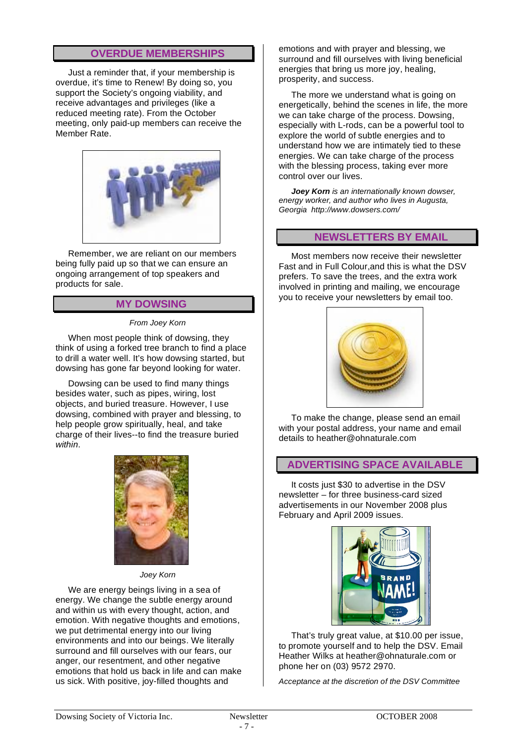### **OVERDUE MEMBERSHIPS**

Just a reminder that, if your membership is overdue, it's time to Renew! By doing so, you support the Society's ongoing viability, and receive advantages and privileges (like a reduced meeting rate). From the October meeting, only paid-up members can receive the Member Rate.



Remember, we are reliant on our members being fully paid up so that we can ensure an ongoing arrangement of top speakers and products for sale.

#### **MY DOWSING**

#### *From Joey Korn*

When most people think of dowsing, they think of using a forked tree branch to find a place to drill a water well. It's how dowsing started, but dowsing has gone far beyond looking for water.

Dowsing can be used to find many things besides water, such as pipes, wiring, lost objects, and buried treasure. However, I use dowsing, combined with prayer and blessing, to help people grow spiritually, heal, and take charge of their lives--to find the treasure buried *within*.



*Joey Korn*

We are energy beings living in a sea of energy. We change the subtle energy around and within us with every thought, action, and emotion. With negative thoughts and emotions, we put detrimental energy into our living environments and into our beings. We literally surround and fill ourselves with our fears, our anger, our resentment, and other negative emotions that hold us back in life and can make us sick. With positive, joy-filled thoughts and

emotions and with prayer and blessing, we surround and fill ourselves with living beneficial energies that bring us more joy, healing, prosperity, and success.

The more we understand what is going on energetically, behind the scenes in life, the more we can take charge of the process. Dowsing, especially with L-rods, can be a powerful tool to explore the world of subtle energies and to understand how we are intimately tied to these energies. We can take charge of the process with the blessing process, taking ever more control over our lives.

*Joey Korn is an internationally known dowser, energy worker, and author who lives in Augusta, Georgia http://www.dowsers.com/*

#### **NEWSLETTERS BY EMAIL**

Most members now receive their newsletter Fast and in Full Colour,and this is what the DSV prefers. To save the trees, and the extra work involved in printing and mailing, we encourage you to receive your newsletters by email too.



To make the change, please send an email with your postal address, your name and email details to heather@ohnaturale.com

#### **ADVERTISING SPACE AVAILABLE**

It costs just \$30 to advertise in the DSV newsletter – for three business-card sized advertisements in our November 2008 plus February and April 2009 issues.



That's truly great value, at \$10.00 per issue, to promote yourself and to help the DSV. Email Heather Wilks at heather@ohnaturale.com or phone her on (03) 9572 2970.

*Acceptance at the discretion of the DSV Committee*